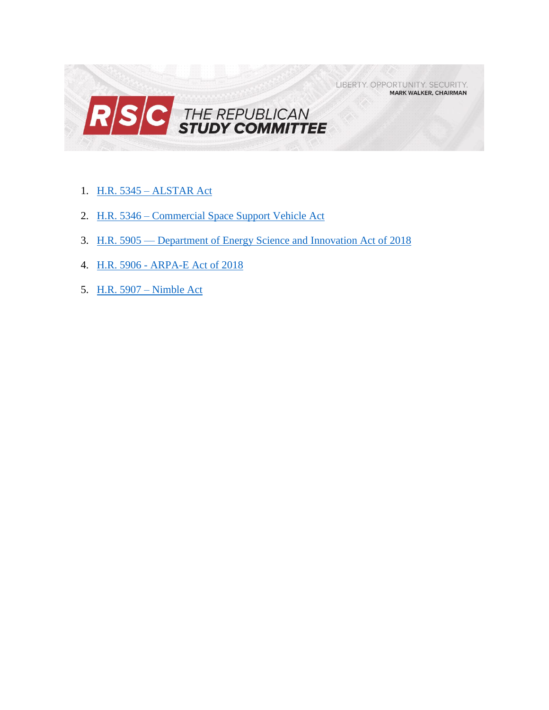LIBERTY. OPPORTUNITY. SECURITY. **MARK WALKER, CHAIRMAN** 



- 1. H.R. 5345 [ALSTAR Act](#page-1-0)
- 2. H.R. 5346 [Commercial Space Support Vehicle Act](#page-2-0)
- 3. H.R. 5905 [Department of Energy Science and Innovation Act of 2018](#page-4-0)
- 4. H.R. 5906 [ARPA-E Act of 2018](#page-10-0)
- 5. [H.R. 5907 –](#page-13-0) Nimble Act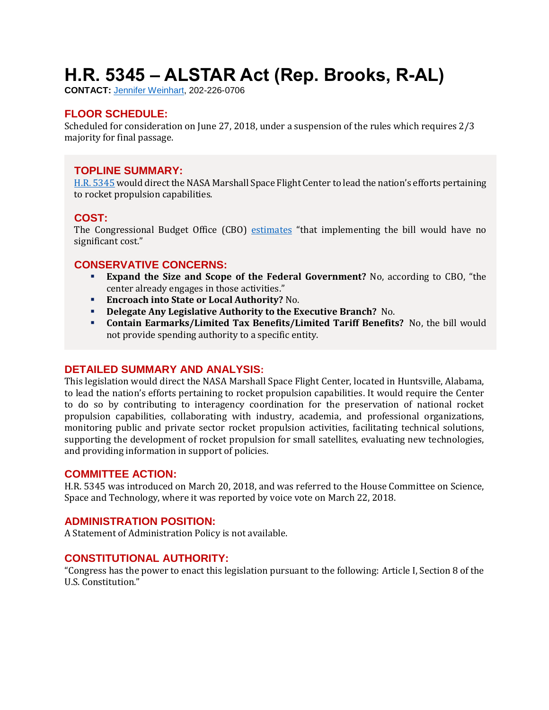# <span id="page-1-0"></span>**H.R. 5345 – ALSTAR Act (Rep. Brooks, R-AL)**

**CONTACT:** [Jennifer Weinhart,](mailto:jennifer.weinhart@mail.house.gov) 202-226-0706

# **FLOOR SCHEDULE:**

Scheduled for consideration on June 27, 2018, under a suspension of the rules which requires 2/3 majority for final passage.

#### **TOPLINE SUMMARY:**

[H.R. 5345](https://docs.house.gov/billsthisweek/20180625/HR5345.pdf) would direct the NASA Marshall Space Flight Center to lead the nation's efforts pertaining to rocket propulsion capabilities.

#### **COST:**

The Congressional Budget Office (CBO) [estimates](https://www.cbo.gov/system/files/115th-congress-2017-2018/costestimate/hr5345.pdf) "that implementing the bill would have no significant cost."

# **CONSERVATIVE CONCERNS:**

- **Expand the Size and Scope of the Federal Government?** No, according to CBO, "the center already engages in those activities."
- **Encroach into State or Local Authority?** No.
- **Delegate Any Legislative Authority to the Executive Branch?** No.
- **Contain Earmarks/Limited Tax Benefits/Limited Tariff Benefits?** No, the bill would not provide spending authority to a specific entity.

#### **DETAILED SUMMARY AND ANALYSIS:**

This legislation would direct the NASA Marshall Space Flight Center, located in Huntsville, Alabama, to lead the nation's efforts pertaining to rocket propulsion capabilities. It would require the Center to do so by contributing to interagency coordination for the preservation of national rocket propulsion capabilities, collaborating with industry, academia, and professional organizations, monitoring public and private sector rocket propulsion activities, facilitating technical solutions, supporting the development of rocket propulsion for small satellites, evaluating new technologies, and providing information in support of policies.

#### **COMMITTEE ACTION:**

H.R. 5345 was introduced on March 20, 2018, and was referred to the House Committee on Science, Space and Technology, where it was reported by voice vote on March 22, 2018.

#### **ADMINISTRATION POSITION:**

A Statement of Administration Policy is not available.

#### **CONSTITUTIONAL AUTHORITY:**

"Congress has the power to enact this legislation pursuant to the following: Article I, Section 8 of the U.S. Constitution."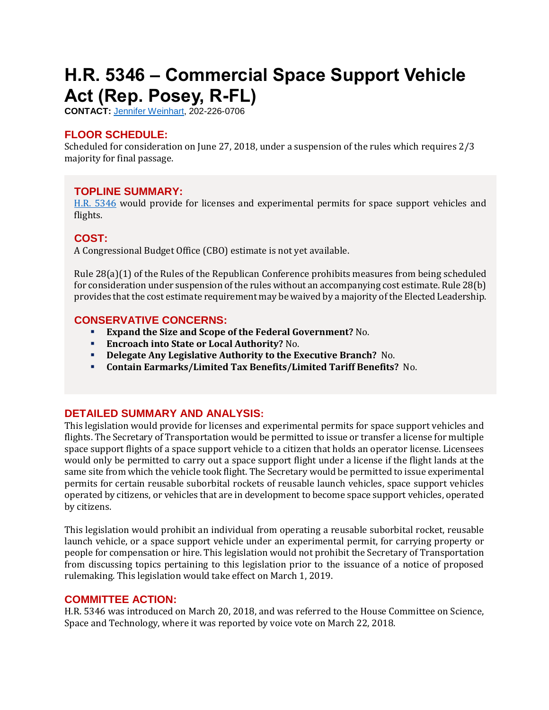# <span id="page-2-0"></span>**H.R. 5346 – Commercial Space Support Vehicle Act (Rep. Posey, R-FL)**

**CONTACT:** [Jennifer Weinhart,](mailto:jennifer.weinhart@mail.house.gov) 202-226-0706

# **FLOOR SCHEDULE:**

Scheduled for consideration on June 27, 2018, under a suspension of the rules which requires 2/3 majority for final passage.

# **TOPLINE SUMMARY:**

[H.R. 5346](http://docs.house.gov/billsthisweek/20180625/HR5346.pdf) would provide for licenses and experimental permits for space support vehicles and flights.

# **COST:**

A Congressional Budget Office (CBO) estimate is not yet available.

Rule 28(a)(1) of the Rules of the Republican Conference prohibits measures from being scheduled for consideration under suspension of the rules without an accompanying cost estimate. Rule 28(b) provides that the cost estimate requirement may be waived by a majority of the Elected Leadership.

# **CONSERVATIVE CONCERNS:**

- **Expand the Size and Scope of the Federal Government?** No.
- **Encroach into State or Local Authority?** No.
- **Delegate Any Legislative Authority to the Executive Branch?** No.
- **Contain Earmarks/Limited Tax Benefits/Limited Tariff Benefits?** No.

# **DETAILED SUMMARY AND ANALYSIS:**

This legislation would provide for licenses and experimental permits for space support vehicles and flights. The Secretary of Transportation would be permitted to issue or transfer a license for multiple space support flights of a space support vehicle to a citizen that holds an operator license. Licensees would only be permitted to carry out a space support flight under a license if the flight lands at the same site from which the vehicle took flight. The Secretary would be permitted to issue experimental permits for certain reusable suborbital rockets of reusable launch vehicles, space support vehicles operated by citizens, or vehicles that are in development to become space support vehicles, operated by citizens.

This legislation would prohibit an individual from operating a reusable suborbital rocket, reusable launch vehicle, or a space support vehicle under an experimental permit, for carrying property or people for compensation or hire. This legislation would not prohibit the Secretary of Transportation from discussing topics pertaining to this legislation prior to the issuance of a notice of proposed rulemaking. This legislation would take effect on March 1, 2019.

# **COMMITTEE ACTION:**

H.R. 5346 was introduced on March 20, 2018, and was referred to the House Committee on Science, Space and Technology, where it was reported by voice vote on March 22, 2018.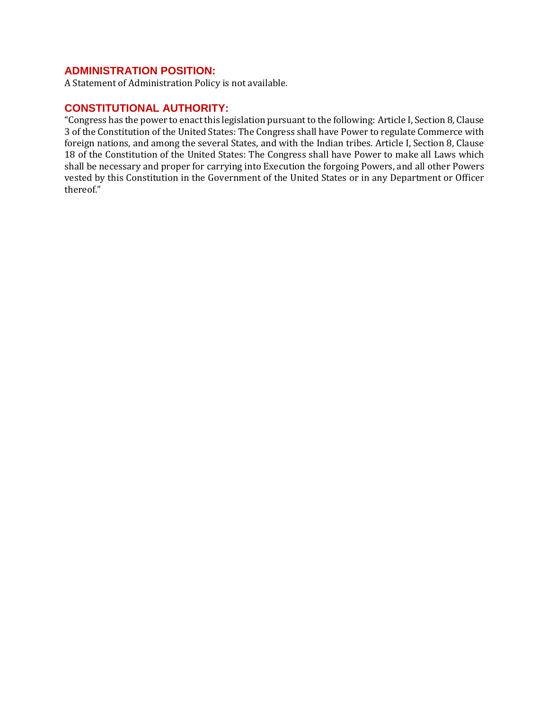# **ADMINISTRATION POSITION:**

A Statement of Administration Policy is not available.

#### **CONSTITUTIONAL AUTHORITY:**

"Congress has the power to enact this legislation pursuant to the following: Article I, Section 8, Clause 3 of the Constitution of the United States: The Congress shall have Power to regulate Commerce with foreign nations, and among the several States, and with the Indian tribes. Article I, Section 8, Clause 18 of the Constitution of the United States: The Congress shall have Power to make all Laws which shall be necessary and proper for carrying into Execution the forgoing Powers, and all other Powers vested by this Constitution in the Government of the United States or in any Department or Officer thereof."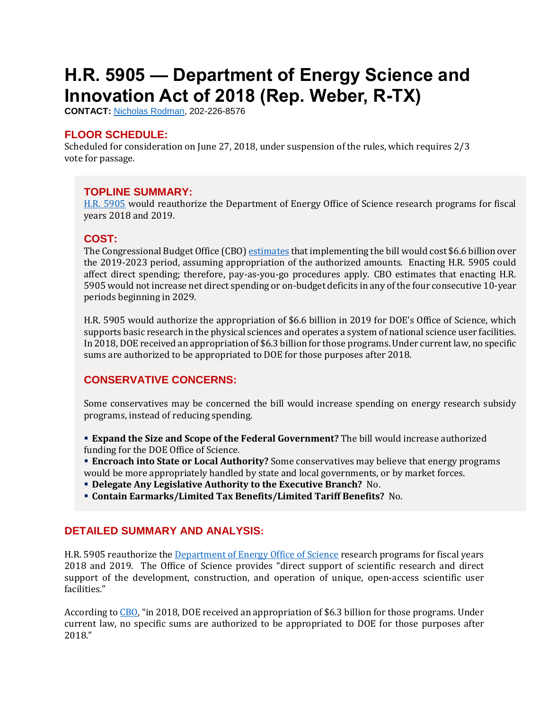# <span id="page-4-0"></span>**H.R. 5905 — Department of Energy Science and Innovation Act of 2018 (Rep. Weber, R-TX)**

**CONTACT:** [Nicholas Rodman,](mailto:nicholas.rodman@mail.house.gov) 202-226-8576

# **FLOOR SCHEDULE:**

Scheduled for consideration on June 27, 2018, under suspension of the rules, which requires 2/3 vote for passage.

# **TOPLINE SUMMARY:**

[H.R. 5905](https://docs.house.gov/billsthisweek/20180625/HR5905.pdf) would reauthorize the Department of Energy Office of Science research programs for fiscal years 2018 and 2019.

# **COST:**

The Congressional Budget Office (CBO[\) estimates](https://www.cbo.gov/system/files/115th-congress-2017-2018/costestimate/hr5905.pdf) that implementing the bill would cost \$6.6 billion over the 2019-2023 period, assuming appropriation of the authorized amounts. Enacting H.R. 5905 could affect direct spending; therefore, pay-as-you-go procedures apply. CBO estimates that enacting H.R. 5905 would not increase net direct spending or on-budget deficits in any of the four consecutive 10-year periods beginning in 2029.

H.R. 5905 would authorize the appropriation of \$6.6 billion in 2019 for DOE's Office of Science, which supports basic research in the physical sciences and operates a system of national science user facilities. In 2018, DOE received an appropriation of \$6.3 billion for those programs. Under current law, no specific sums are authorized to be appropriated to DOE for those purposes after 2018.

# **CONSERVATIVE CONCERNS:**

Some conservatives may be concerned the bill would increase spending on energy research subsidy programs, instead of reducing spending.

- **Expand the Size and Scope of the Federal Government?** The bill would increase authorized funding for the DOE Office of Science.
- **Encroach into State or Local Authority?** Some conservatives may believe that energy programs would be more appropriately handled by state and local governments, or by market forces.
- **Delegate Any Legislative Authority to the Executive Branch?** No.
- **Contain Earmarks/Limited Tax Benefits/Limited Tariff Benefits?** No.

# **DETAILED SUMMARY AND ANALYSIS:**

H.R. 5905 reauthorize the [Department of Energy Office of Science](https://science.energy.gov/) research programs for fiscal years 2018 and 2019. The Office of Science provides "direct support of scientific research and direct support of the development, construction, and operation of unique, open-access scientific user facilities."

According to [CBO](https://www.cbo.gov/system/files/115th-congress-2017-2018/costestimate/hr5905.pdf), "in 2018, DOE received an appropriation of \$6.3 billion for those programs. Under current law, no specific sums are authorized to be appropriated to DOE for those purposes after 2018."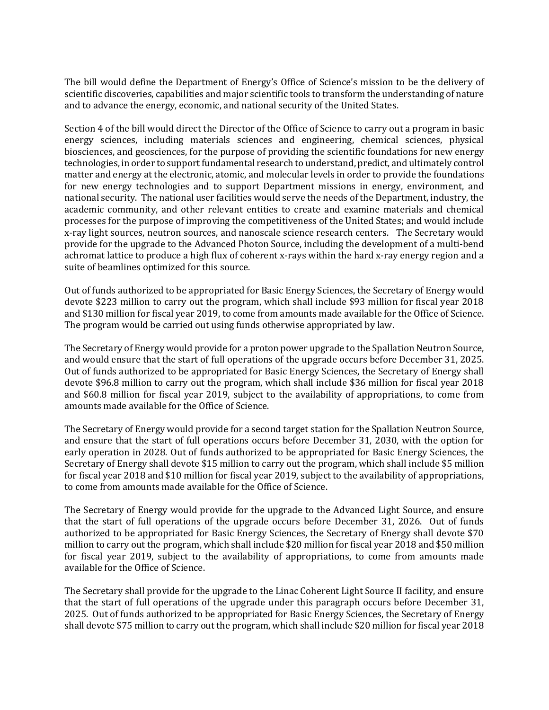The bill would define the Department of Energy's Office of Science's mission to be the delivery of scientific discoveries, capabilities and major scientific tools to transform the understanding of nature and to advance the energy, economic, and national security of the United States.

Section 4 of the bill would direct the Director of the Office of Science to carry out a program in basic energy sciences, including materials sciences and engineering, chemical sciences, physical biosciences, and geosciences, for the purpose of providing the scientific foundations for new energy technologies, in order to support fundamental research to understand, predict, and ultimately control matter and energy at the electronic, atomic, and molecular levels in order to provide the foundations for new energy technologies and to support Department missions in energy, environment, and national security. The national user facilities would serve the needs of the Department, industry, the academic community, and other relevant entities to create and examine materials and chemical processes for the purpose of improving the competitiveness of the United States; and would include x-ray light sources, neutron sources, and nanoscale science research centers. The Secretary would provide for the upgrade to the Advanced Photon Source, including the development of a multi-bend achromat lattice to produce a high flux of coherent x-rays within the hard x-ray energy region and a suite of beamlines optimized for this source.

Out of funds authorized to be appropriated for Basic Energy Sciences, the Secretary of Energy would devote \$223 million to carry out the program, which shall include \$93 million for fiscal year 2018 and \$130 million for fiscal year 2019, to come from amounts made available for the Office of Science. The program would be carried out using funds otherwise appropriated by law.

The Secretary of Energy would provide for a proton power upgrade to the Spallation Neutron Source, and would ensure that the start of full operations of the upgrade occurs before December 31, 2025. Out of funds authorized to be appropriated for Basic Energy Sciences, the Secretary of Energy shall devote \$96.8 million to carry out the program, which shall include \$36 million for fiscal year 2018 and \$60.8 million for fiscal year 2019, subject to the availability of appropriations, to come from amounts made available for the Office of Science.

The Secretary of Energy would provide for a second target station for the Spallation Neutron Source, and ensure that the start of full operations occurs before December 31, 2030, with the option for early operation in 2028. Out of funds authorized to be appropriated for Basic Energy Sciences, the Secretary of Energy shall devote \$15 million to carry out the program, which shall include \$5 million for fiscal year 2018 and \$10 million for fiscal year 2019, subject to the availability of appropriations, to come from amounts made available for the Office of Science.

The Secretary of Energy would provide for the upgrade to the Advanced Light Source, and ensure that the start of full operations of the upgrade occurs before December 31, 2026. Out of funds authorized to be appropriated for Basic Energy Sciences, the Secretary of Energy shall devote \$70 million to carry out the program, which shall include \$20 million for fiscal year 2018 and \$50 million for fiscal year 2019, subject to the availability of appropriations, to come from amounts made available for the Office of Science.

The Secretary shall provide for the upgrade to the Linac Coherent Light Source II facility, and ensure that the start of full operations of the upgrade under this paragraph occurs before December 31, 2025. Out of funds authorized to be appropriated for Basic Energy Sciences, the Secretary of Energy shall devote \$75 million to carry out the program, which shall include \$20 million for fiscal year 2018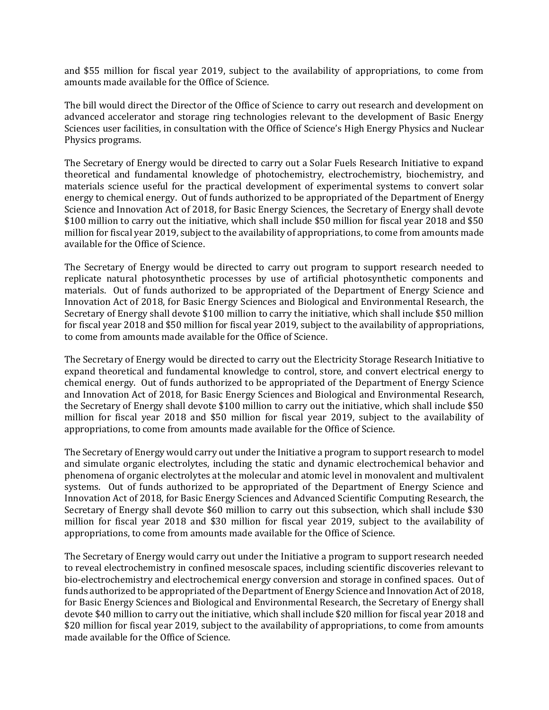and \$55 million for fiscal year 2019, subject to the availability of appropriations, to come from amounts made available for the Office of Science.

The bill would direct the Director of the Office of Science to carry out research and development on advanced accelerator and storage ring technologies relevant to the development of Basic Energy Sciences user facilities, in consultation with the Office of Science's High Energy Physics and Nuclear Physics programs.

The Secretary of Energy would be directed to carry out a Solar Fuels Research Initiative to expand theoretical and fundamental knowledge of photochemistry, electrochemistry, biochemistry, and materials science useful for the practical development of experimental systems to convert solar energy to chemical energy. Out of funds authorized to be appropriated of the Department of Energy Science and Innovation Act of 2018, for Basic Energy Sciences, the Secretary of Energy shall devote \$100 million to carry out the initiative, which shall include \$50 million for fiscal year 2018 and \$50 million for fiscal year 2019, subject to the availability of appropriations, to come from amounts made available for the Office of Science.

The Secretary of Energy would be directed to carry out program to support research needed to replicate natural photosynthetic processes by use of artificial photosynthetic components and materials. Out of funds authorized to be appropriated of the Department of Energy Science and Innovation Act of 2018, for Basic Energy Sciences and Biological and Environmental Research, the Secretary of Energy shall devote \$100 million to carry the initiative, which shall include \$50 million for fiscal year 2018 and \$50 million for fiscal year 2019, subject to the availability of appropriations, to come from amounts made available for the Office of Science.

The Secretary of Energy would be directed to carry out the Electricity Storage Research Initiative to expand theoretical and fundamental knowledge to control, store, and convert electrical energy to chemical energy. Out of funds authorized to be appropriated of the Department of Energy Science and Innovation Act of 2018, for Basic Energy Sciences and Biological and Environmental Research, the Secretary of Energy shall devote \$100 million to carry out the initiative, which shall include \$50 million for fiscal year 2018 and \$50 million for fiscal year 2019, subject to the availability of appropriations, to come from amounts made available for the Office of Science.

The Secretary of Energy would carry out under the Initiative a program to support research to model and simulate organic electrolytes, including the static and dynamic electrochemical behavior and phenomena of organic electrolytes at the molecular and atomic level in monovalent and multivalent systems. Out of funds authorized to be appropriated of the Department of Energy Science and Innovation Act of 2018, for Basic Energy Sciences and Advanced Scientific Computing Research, the Secretary of Energy shall devote \$60 million to carry out this subsection, which shall include \$30 million for fiscal year 2018 and \$30 million for fiscal year 2019, subject to the availability of appropriations, to come from amounts made available for the Office of Science.

The Secretary of Energy would carry out under the Initiative a program to support research needed to reveal electrochemistry in confined mesoscale spaces, including scientific discoveries relevant to bio-electrochemistry and electrochemical energy conversion and storage in confined spaces. Out of funds authorized to be appropriated of the Department of Energy Science and Innovation Act of 2018, for Basic Energy Sciences and Biological and Environmental Research, the Secretary of Energy shall devote \$40 million to carry out the initiative, which shall include \$20 million for fiscal year 2018 and \$20 million for fiscal year 2019, subject to the availability of appropriations, to come from amounts made available for the Office of Science.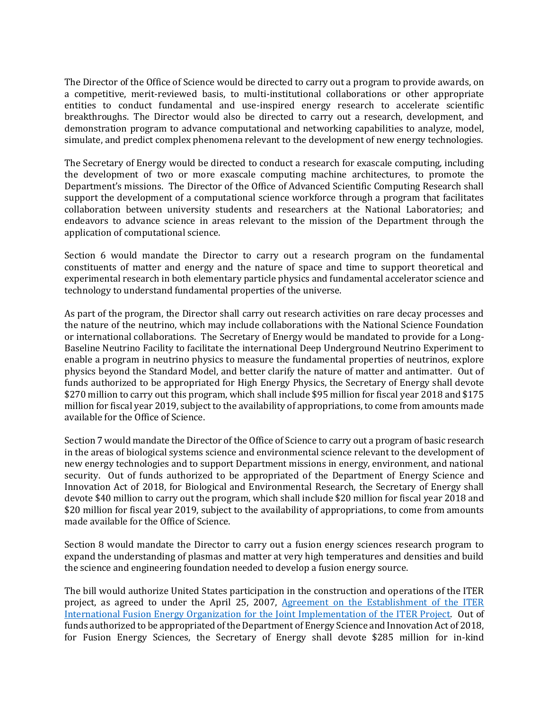The Director of the Office of Science would be directed to carry out a program to provide awards, on a competitive, merit-reviewed basis, to multi-institutional collaborations or other appropriate entities to conduct fundamental and use-inspired energy research to accelerate scientific breakthroughs. The Director would also be directed to carry out a research, development, and demonstration program to advance computational and networking capabilities to analyze, model, simulate, and predict complex phenomena relevant to the development of new energy technologies.

The Secretary of Energy would be directed to conduct a research for exascale computing, including the development of two or more exascale computing machine architectures, to promote the Department's missions. The Director of the Office of Advanced Scientific Computing Research shall support the development of a computational science workforce through a program that facilitates collaboration between university students and researchers at the National Laboratories; and endeavors to advance science in areas relevant to the mission of the Department through the application of computational science.

Section 6 would mandate the Director to carry out a research program on the fundamental constituents of matter and energy and the nature of space and time to support theoretical and experimental research in both elementary particle physics and fundamental accelerator science and technology to understand fundamental properties of the universe.

As part of the program, the Director shall carry out research activities on rare decay processes and the nature of the neutrino, which may include collaborations with the National Science Foundation or international collaborations. The Secretary of Energy would be mandated to provide for a Long-Baseline Neutrino Facility to facilitate the international Deep Underground Neutrino Experiment to enable a program in neutrino physics to measure the fundamental properties of neutrinos, explore physics beyond the Standard Model, and better clarify the nature of matter and antimatter. Out of funds authorized to be appropriated for High Energy Physics, the Secretary of Energy shall devote \$270 million to carry out this program, which shall include \$95 million for fiscal year 2018 and \$175 million for fiscal year 2019, subject to the availability of appropriations, to come from amounts made available for the Office of Science.

Section 7 would mandate the Director of the Office of Science to carry out a program of basic research in the areas of biological systems science and environmental science relevant to the development of new energy technologies and to support Department missions in energy, environment, and national security. Out of funds authorized to be appropriated of the Department of Energy Science and Innovation Act of 2018, for Biological and Environmental Research, the Secretary of Energy shall devote \$40 million to carry out the program, which shall include \$20 million for fiscal year 2018 and \$20 million for fiscal year 2019, subject to the availability of appropriations, to come from amounts made available for the Office of Science.

Section 8 would mandate the Director to carry out a fusion energy sciences research program to expand the understanding of plasmas and matter at very high temperatures and densities and build the science and engineering foundation needed to develop a fusion energy source.

The bill would authorize United States participation in the construction and operations of the ITER project, as agreed to under the April 25, 2007, [Agreement on the Establishment of the ITER](https://www.iaea.org/publications/documents/infcircs/agreement-establishment-iter-international-fusion-energy-organization-joint-implementation-iter-project)  [International Fusion Energy Organization for the Joint Implementation of the ITER Project.](https://www.iaea.org/publications/documents/infcircs/agreement-establishment-iter-international-fusion-energy-organization-joint-implementation-iter-project) Out of funds authorized to be appropriated of the Department of Energy Science and Innovation Act of 2018, for Fusion Energy Sciences, the Secretary of Energy shall devote \$285 million for in-kind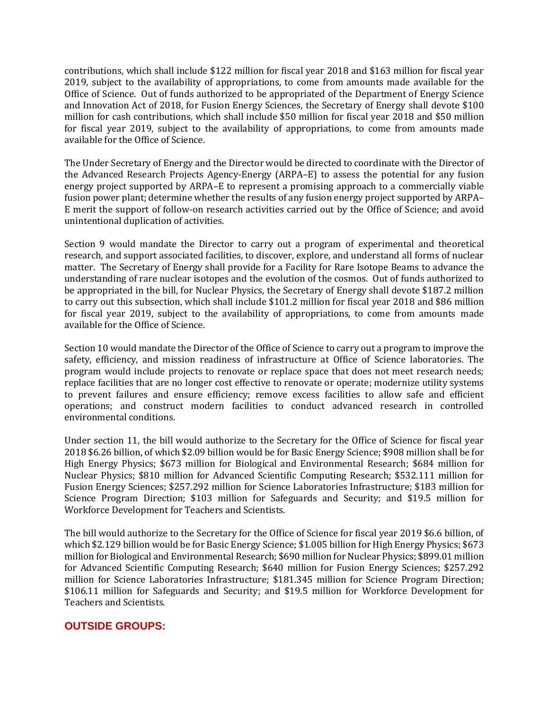contributions, which shall include \$122 million for fiscal year 2018 and \$163 million for fiscal year 2019, subject to the availability of appropriations, to come from amounts made available for the Office of Science. Out of funds authorized to be appropriated of the Department of Energy Science and Innovation Act of 2018, for Fusion Energy Sciences, the Secretary of Energy shall devote \$100 million for cash contributions, which shall include \$50 million for fiscal year 2018 and \$50 million for fiscal year 2019, subject to the availability of appropriations, to come from amounts made available for the Office of Science.

The Under Secretary of Energy and the Director would be directed to coordinate with the Director of the Advanced Research Projects Agency-Energy (ARPA–E) to assess the potential for any fusion energy project supported by ARPA–E to represent a promising approach to a commercially viable fusion power plant; determine whether the results of any fusion energy project supported by ARPA– E merit the support of follow-on research activities carried out by the Office of Science; and avoid unintentional duplication of activities.

Section 9 would mandate the Director to carry out a program of experimental and theoretical research, and support associated facilities, to discover, explore, and understand all forms of nuclear matter. The Secretary of Energy shall provide for a Facility for Rare Isotope Beams to advance the understanding of rare nuclear isotopes and the evolution of the cosmos. Out of funds authorized to be appropriated in the bill, for Nuclear Physics, the Secretary of Energy shall devote \$187.2 million to carry out this subsection, which shall include \$101.2 million for fiscal year 2018 and \$86 million for fiscal year 2019, subject to the availability of appropriations, to come from amounts made available for the Office of Science.

Section 10 would mandate the Director of the Office of Science to carry out a program to improve the safety, efficiency, and mission readiness of infrastructure at Office of Science laboratories. The program would include projects to renovate or replace space that does not meet research needs; replace facilities that are no longer cost effective to renovate or operate; modernize utility systems to prevent failures and ensure efficiency; remove excess facilities to allow safe and efficient operations; and construct modern facilities to conduct advanced research in controlled environmental conditions.

Under section 11, the bill would authorize to the Secretary for the Office of Science for fiscal year 2018 \$6.26 billion, of which \$2.09 billion would be for Basic Energy Science; \$908 million shall be for High Energy Physics; \$673 million for Biological and Environmental Research; \$684 million for Nuclear Physics; \$810 million for Advanced Scientific Computing Research; \$532.111 million for Fusion Energy Sciences; \$257.292 million for Science Laboratories Infrastructure; \$183 million for Science Program Direction; \$103 million for Safeguards and Security; and \$19.5 million for Workforce Development for Teachers and Scientists.

The bill would authorize to the Secretary for the Office of Science for fiscal year 2019 \$6.6 billion, of which \$2.129 billion would be for Basic Energy Science; \$1.005 billion for High Energy Physics; \$673 million for Biological and Environmental Research; \$690 million for Nuclear Physics; \$899.01 million for Advanced Scientific Computing Research; \$640 million for Fusion Energy Sciences; \$257.292 million for Science Laboratories Infrastructure; \$181.345 million for Science Program Direction; \$106.11 million for Safeguards and Security; and \$19.5 million for Workforce Development for Teachers and Scientists.

# **OUTSIDE GROUPS:**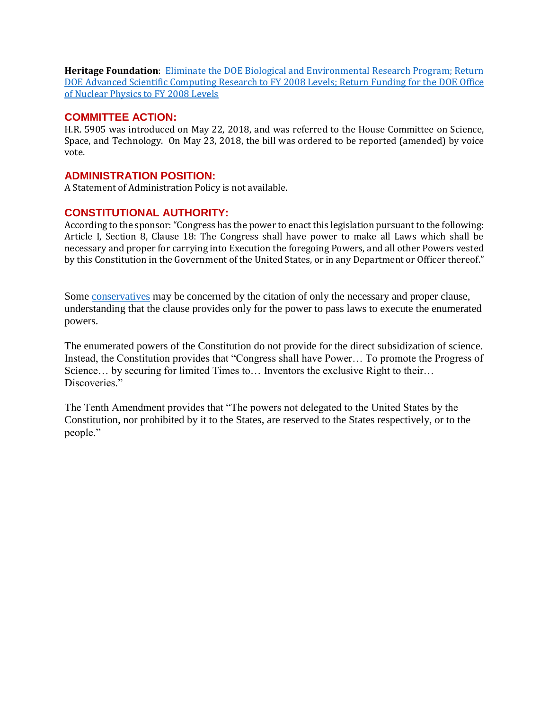**Heritage Foundation**: [Eliminate the DOE Biological and Environmental Research Program; Return](https://www.heritage.org/sites/default/files/2018-06/BlueprintforBalance_2018.pdf)  [DOE Advanced Scientific Computing Research to FY 2008 Levels; Return Funding for the DOE Office](https://www.heritage.org/sites/default/files/2018-06/BlueprintforBalance_2018.pdf)  [of Nuclear Physics to FY 2008 Levels](https://www.heritage.org/sites/default/files/2018-06/BlueprintforBalance_2018.pdf)

#### **COMMITTEE ACTION:**

H.R. 5905 was introduced on May 22, 2018, and was referred to the House Committee on Science, Space, and Technology. On May 23, 2018, the bill was ordered to be reported (amended) by voice vote.

#### **ADMINISTRATION POSITION:**

A Statement of Administration Policy is not available.

# **CONSTITUTIONAL AUTHORITY:**

According to the sponsor: "Congress has the power to enact this legislation pursuant to the following: Article I, Section 8, Clause 18: The Congress shall have power to make all Laws which shall be necessary and proper for carrying into Execution the foregoing Powers, and all other Powers vested by this Constitution in the Government of the United States, or in any Department or Officer thereof."

Some [conservatives](https://founders.archives.gov/documents/Madison/01-13-02-0282) may be concerned by the citation of only the necessary and proper clause, understanding that the clause provides only for the power to pass laws to execute the enumerated powers.

The enumerated powers of the Constitution do not provide for the direct subsidization of science. Instead, the Constitution provides that "Congress shall have Power… To promote the Progress of Science… by securing for limited Times to… Inventors the exclusive Right to their… Discoveries."

The Tenth Amendment provides that "The powers not delegated to the United States by the Constitution, nor prohibited by it to the States, are reserved to the States respectively, or to the people."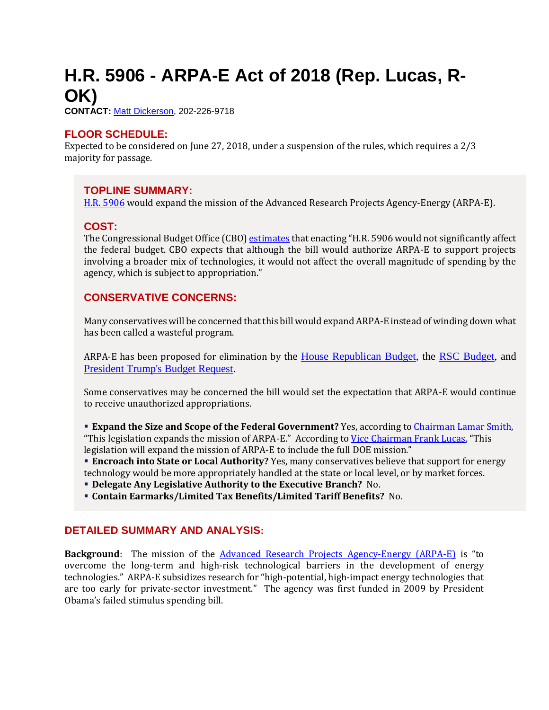# <span id="page-10-0"></span>**H.R. 5906 - ARPA-E Act of 2018 (Rep. Lucas, R-OK)**

**CONTACT:** [Matt Dickerson,](mailto:Matthew.Dickerson@mail.house.gov) 202-226-9718

#### **FLOOR SCHEDULE:**

Expected to be considered on June 27, 2018, under a suspension of the rules, which requires a 2/3 majority for passage.

#### **TOPLINE SUMMARY:**

[H.R. 5906](https://docs.house.gov/billsthisweek/20180625/HR5906.pdf) would expand the mission of the Advanced Research Projects Agency-Energy (ARPA-E).

#### **COST:**

The Congressional Budget Office (CBO[\) estimates](https://www.cbo.gov/system/files/115th-congress-2017-2018/costestimate/hr5906.pdf) that enacting "H.R. 5906 would not significantly affect the federal budget. CBO expects that although the bill would authorize ARPA-E to support projects involving a broader mix of technologies, it would not affect the overall magnitude of spending by the agency, which is subject to appropriation."

#### **CONSERVATIVE CONCERNS:**

Many conservatives will be concerned that this bill would expand ARPA-E instead of winding down what has been called a wasteful program.

ARPA-E has been proposed for elimination by the [House Republican Budget,](https://urldefense.proofpoint.com/v2/url?u=https-3A__www.congress.gov_115_crpt_hrpt240_CRPT-2D115hrpt240.pdf-23page-3D101&d=DwMFaQ&c=L93KkjKsAC98uTvC4KvQDTmmq1mJ2vMPtzuTpFgX8gY&r=NI7NhLqBch6Ve80FVKV-3q5_Q8B8BHEHsEBmo_Md4Xo&m=O5NQ2kZHykAxRA7tfC5tuk3vOEP0DPmvpxAYw7ykFF0&s=IcniwK-laDYTOldVbt-64J-uBMoVL0UKoZpvDVMnQxM&e=) the [RSC Budget,](https://rsc-walker.house.gov/sites/republicanstudycommittee.house.gov/files/wysiwyg_uploaded/RSC%20Budget%20FY2019%20-%20Narrative%20-%20FINAL.PDF#page=127) and [President Trump's Budget Request.](https://urldefense.proofpoint.com/v2/url?u=https-3A__www.whitehouse.gov_wp-2Dcontent_uploads_2018_02_msar-2Dfy2019.pdf-23page-3D46&d=DwMFaQ&c=L93KkjKsAC98uTvC4KvQDTmmq1mJ2vMPtzuTpFgX8gY&r=NI7NhLqBch6Ve80FVKV-3q5_Q8B8BHEHsEBmo_Md4Xo&m=O5NQ2kZHykAxRA7tfC5tuk3vOEP0DPmvpxAYw7ykFF0&s=jYSWlyrsk0AMkSMF4zKOBOFByzux0ogER6cQXFihORA&e=)

Some conservatives may be concerned the bill would set the expectation that ARPA-E would continue to receive unauthorized appropriations.

- **Expand the Size and Scope of the Federal Government?** Yes, according to Chairman Lamar Smith, "This legislation expands the mission of ARPA-E." According to [Vice Chairman Frank Lucas](https://science.house.gov/sites/republicans.science.house.gov/files/documents/05232018%20Markup%20Lucas%20Statement.pdf), "This legislation will expand the mission of ARPA-E to include the full DOE mission."
- **Encroach into State or Local Authority?** Yes, many conservatives believe that support for energy technology would be more appropriately handled at the state or local level, or by market forces.
- **Delegate Any Legislative Authority to the Executive Branch?** No.
- **Contain Earmarks/Limited Tax Benefits/Limited Tariff Benefits?** No.

#### **DETAILED SUMMARY AND ANALYSIS:**

**Background**: The mission of the [Advanced Research Projects Agency-Energy \(ARPA-E\)](https://arpa-e.energy.gov/) is "to overcome the long-term and high-risk technological barriers in the development of energy technologies." ARPA-E subsidizes research for "high-potential, high-impact energy technologies that are too early for private-sector investment." The agency was first funded in 2009 by President Obama's failed stimulus spending bill.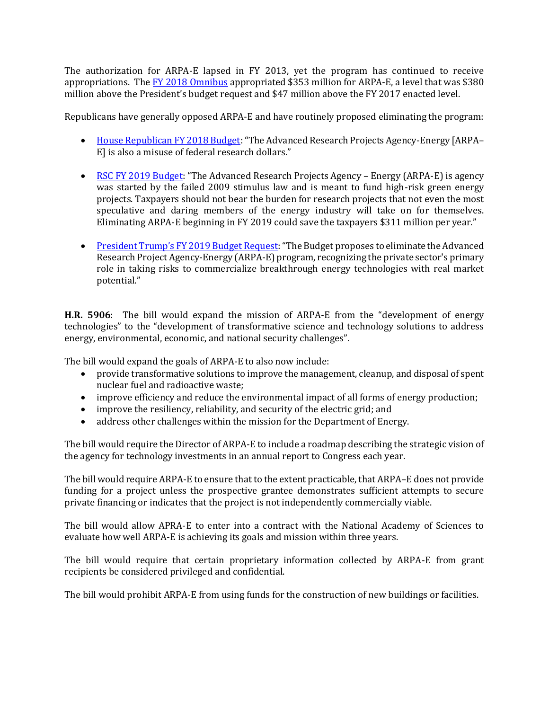The authorization for ARPA-E lapsed in FY 2013, yet the program has continued to receive appropriations. The [FY 2018 Omnibus](https://gallery.mailchimp.com/d4254037a343b683d142111e0/files/908b7457-a446-4f3c-9d54-bfd950708ae8/RSC_Legislative_Bulletin_FY_2018_Omnibus_March_22_2018.pdf) appropriated \$353 million for ARPA-E, a level that was \$380 million above the President's budget request and \$47 million above the FY 2017 enacted level.

Republicans have generally opposed ARPA-E and have routinely proposed eliminating the program:

- [House Republican FY 2018 Budget](https://www.congress.gov/115/crpt/hrpt240/CRPT-115hrpt240.pdf#page=101): "The Advanced Research Projects Agency-Energy [ARPA– E] is also a misuse of federal research dollars."
- [RSC FY 2019 Budget](https://rsc-walker.house.gov/sites/republicanstudycommittee.house.gov/files/wysiwyg_uploaded/RSC%20Budget%20FY2019%20-%20Narrative%20-%20FINAL.PDF#page=127): "The Advanced Research Projects Agency Energy (ARPA-E) is agency was started by the failed 2009 stimulus law and is meant to fund high-risk green energy projects. Taxpayers should not bear the burden for research projects that not even the most speculative and daring members of the energy industry will take on for themselves. Eliminating ARPA-E beginning in FY 2019 could save the taxpayers \$311 million per year."
- [President Trump's FY 2019 Budget Request:](https://www.whitehouse.gov/wp-content/uploads/2018/02/msar-fy2019.pdf#page=46) "The Budget proposes to eliminate the Advanced Research Project Agency-Energy (ARPA-E) program, recognizing the private sector's primary role in taking risks to commercialize breakthrough energy technologies with real market potential."

**H.R. 5906**: The bill would expand the mission of ARPA-E from the "development of energy technologies" to the "development of transformative science and technology solutions to address energy, environmental, economic, and national security challenges".

The bill would expand the goals of ARPA-E to also now include:

- provide transformative solutions to improve the management, cleanup, and disposal of spent nuclear fuel and radioactive waste;
- improve efficiency and reduce the environmental impact of all forms of energy production;
- improve the resiliency, reliability, and security of the electric grid; and
- address other challenges within the mission for the Department of Energy.

The bill would require the Director of ARPA-E to include a roadmap describing the strategic vision of the agency for technology investments in an annual report to Congress each year.

The bill would require ARPA-E to ensure that to the extent practicable, that ARPA–E does not provide funding for a project unless the prospective grantee demonstrates sufficient attempts to secure private financing or indicates that the project is not independently commercially viable.

The bill would allow APRA-E to enter into a contract with the National Academy of Sciences to evaluate how well ARPA-E is achieving its goals and mission within three years.

The bill would require that certain proprietary information collected by ARPA-E from grant recipients be considered privileged and confidential.

The bill would prohibit ARPA-E from using funds for the construction of new buildings or facilities.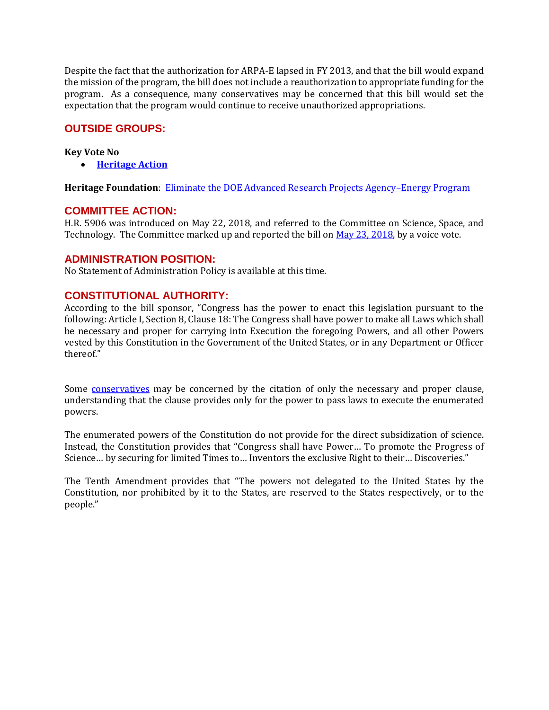Despite the fact that the authorization for ARPA-E lapsed in FY 2013, and that the bill would expand the mission of the program, the bill does not include a reauthorization to appropriate funding for the program. As a consequence, many conservatives may be concerned that this bill would set the expectation that the program would continue to receive unauthorized appropriations.

# **OUTSIDE GROUPS:**

#### **Key Vote No**

• **[Heritage Action](https://heritageaction.com/key-vote/key-vote-no-on-arpa-e-act-of-2018-h-r-5906)**

**Heritage Foundation**: [Eliminate the DOE Advanced Research Projects Agency](https://www.heritage.org/sites/default/files/2018-06/BlueprintforBalance_2018.pdf#page=97)–Energy Program

#### **COMMITTEE ACTION:**

H.R. 5906 was introduced on May 22, 2018, and referred to the Committee on Science, Space, and Technology. The Committee marked up and reported the bill on [May 23, 2018,](https://science.house.gov/legislation/markups/full-committee-markup-3) by a voice vote.

#### **ADMINISTRATION POSITION:**

No Statement of Administration Policy is available at this time.

# **CONSTITUTIONAL AUTHORITY:**

According to the bill sponsor, "Congress has the power to enact this legislation pursuant to the following: Article I, Section 8, Clause 18: The Congress shall have power to make all Laws which shall be necessary and proper for carrying into Execution the foregoing Powers, and all other Powers vested by this Constitution in the Government of the United States, or in any Department or Officer thereof."

Some [conservatives](https://founders.archives.gov/documents/Madison/01-13-02-0282) may be concerned by the citation of only the necessary and proper clause, understanding that the clause provides only for the power to pass laws to execute the enumerated powers.

The enumerated powers of the Constitution do not provide for the direct subsidization of science. Instead, the Constitution provides that "Congress shall have Power… To promote the Progress of Science… by securing for limited Times to… Inventors the exclusive Right to their… Discoveries."

The Tenth Amendment provides that "The powers not delegated to the United States by the Constitution, nor prohibited by it to the States, are reserved to the States respectively, or to the people."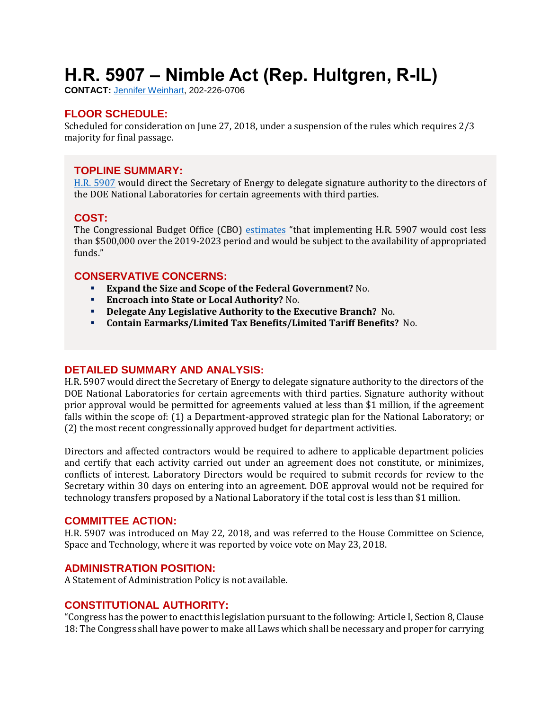# <span id="page-13-0"></span>**H.R. 5907 – Nimble Act (Rep. Hultgren, R-IL)**

**CONTACT:** [Jennifer Weinhart,](mailto:jennifer.weinhart@mail.house.gov) 202-226-0706

# **FLOOR SCHEDULE:**

Scheduled for consideration on June 27, 2018, under a suspension of the rules which requires 2/3 majority for final passage.

# **TOPLINE SUMMARY:**

[H.R. 5907](https://docs.house.gov/billsthisweek/20180625/HR5907.pdf) would direct the Secretary of Energy to delegate signature authority to the directors of the DOE National Laboratories for certain agreements with third parties.

# **COST:**

The Congressional Budget Office (CBO) [estimates](https://www.cbo.gov/system/files/115th-congress-2017-2018/costestimate/hr5907.pdf) "that implementing H.R. 5907 would cost less than \$500,000 over the 2019-2023 period and would be subject to the availability of appropriated funds."

# **CONSERVATIVE CONCERNS:**

- **Expand the Size and Scope of the Federal Government?** No.
- **Encroach into State or Local Authority?** No.
- **Delegate Any Legislative Authority to the Executive Branch?** No.
- **Contain Earmarks/Limited Tax Benefits/Limited Tariff Benefits?** No.

# **DETAILED SUMMARY AND ANALYSIS:**

H.R. 5907 would direct the Secretary of Energy to delegate signature authority to the directors of the DOE National Laboratories for certain agreements with third parties. Signature authority without prior approval would be permitted for agreements valued at less than \$1 million, if the agreement falls within the scope of: (1) a Department-approved strategic plan for the National Laboratory; or (2) the most recent congressionally approved budget for department activities.

Directors and affected contractors would be required to adhere to applicable department policies and certify that each activity carried out under an agreement does not constitute, or minimizes, conflicts of interest. Laboratory Directors would be required to submit records for review to the Secretary within 30 days on entering into an agreement. DOE approval would not be required for technology transfers proposed by a National Laboratory if the total cost is less than \$1 million.

#### **COMMITTEE ACTION:**

H.R. 5907 was introduced on May 22, 2018, and was referred to the House Committee on Science, Space and Technology, where it was reported by voice vote on May 23, 2018.

# **ADMINISTRATION POSITION:**

A Statement of Administration Policy is not available.

# **CONSTITUTIONAL AUTHORITY:**

"Congress has the power to enact this legislation pursuant to the following: Article I, Section 8, Clause 18: The Congress shall have power to make all Laws which shall be necessary and proper for carrying